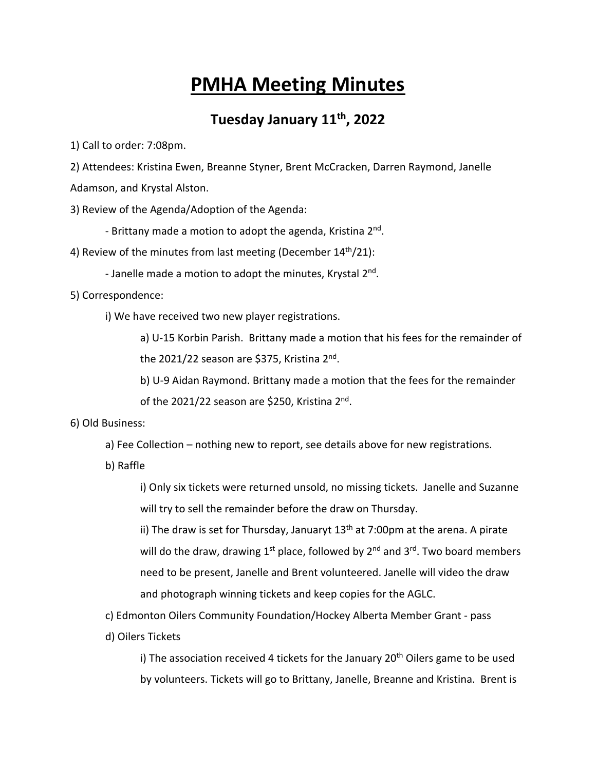## **PMHA Meeting Minutes**

## **Tuesday January 11th, 2022**

1) Call to order: 7:08pm.

2) Attendees: Kristina Ewen, Breanne Styner, Brent McCracken, Darren Raymond, Janelle

Adamson, and Krystal Alston.

3) Review of the Agenda/Adoption of the Agenda:

- Brittany made a motion to adopt the agenda, Kristina 2<sup>nd</sup>.

4) Review of the minutes from last meeting (December  $14<sup>th</sup>/21$ ):

- Janelle made a motion to adopt the minutes, Krystal 2<sup>nd</sup>.

5) Correspondence:

i) We have received two new player registrations.

a) U-15 Korbin Parish. Brittany made a motion that his fees for the remainder of the 2021/22 season are \$375, Kristina 2<sup>nd</sup>.

b) U-9 Aidan Raymond. Brittany made a motion that the fees for the remainder

of the 2021/22 season are \$250, Kristina 2<sup>nd</sup>.

## 6) Old Business:

a) Fee Collection – nothing new to report, see details above for new registrations.

b) Raffle

i) Only six tickets were returned unsold, no missing tickets. Janelle and Suzanne will try to sell the remainder before the draw on Thursday.

ii) The draw is set for Thursday, Januaryt  $13<sup>th</sup>$  at 7:00pm at the arena. A pirate will do the draw, drawing  $1^{st}$  place, followed by  $2^{nd}$  and  $3^{rd}$ . Two board members need to be present, Janelle and Brent volunteered. Janelle will video the draw and photograph winning tickets and keep copies for the AGLC.

c) Edmonton Oilers Community Foundation/Hockey Alberta Member Grant - pass

d) Oilers Tickets

i) The association received 4 tickets for the January  $20<sup>th</sup>$  Oilers game to be used by volunteers. Tickets will go to Brittany, Janelle, Breanne and Kristina. Brent is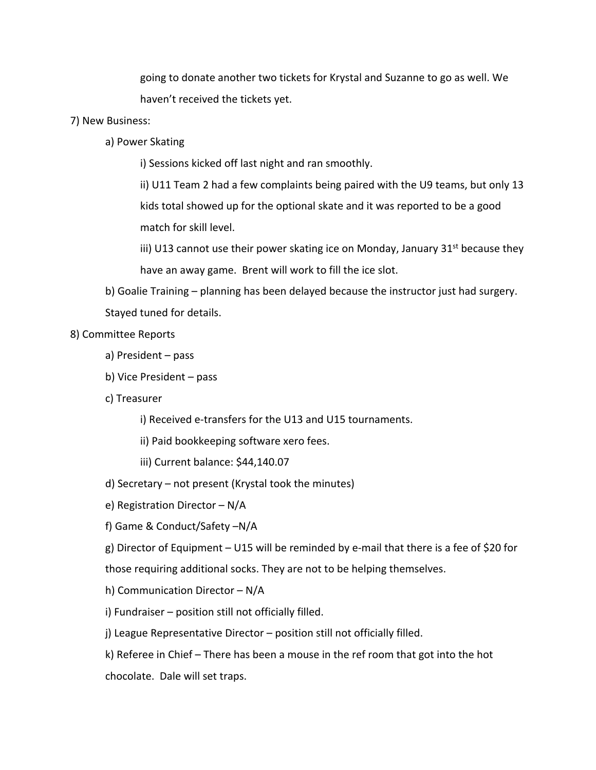going to donate another two tickets for Krystal and Suzanne to go as well. We haven't received the tickets yet.

- 7) New Business:
	- a) Power Skating

i) Sessions kicked off last night and ran smoothly.

ii) U11 Team 2 had a few complaints being paired with the U9 teams, but only 13 kids total showed up for the optional skate and it was reported to be a good match for skill level.

iii) U13 cannot use their power skating ice on Monday, January  $31^{st}$  because they have an away game. Brent will work to fill the ice slot.

b) Goalie Training – planning has been delayed because the instructor just had surgery. Stayed tuned for details.

## 8) Committee Reports

- a) President pass
- b) Vice President pass
- c) Treasurer
	- i) Received e-transfers for the U13 and U15 tournaments.
	- ii) Paid bookkeeping software xero fees.
	- iii) Current balance: \$44,140.07
- d) Secretary not present (Krystal took the minutes)
- e) Registration Director N/A
- f) Game & Conduct/Safety –N/A

g) Director of Equipment – U15 will be reminded by e-mail that there is a fee of \$20 for

those requiring additional socks. They are not to be helping themselves.

- h) Communication Director N/A
- i) Fundraiser position still not officially filled.
- j) League Representative Director position still not officially filled.
- k) Referee in Chief There has been a mouse in the ref room that got into the hot

chocolate. Dale will set traps.